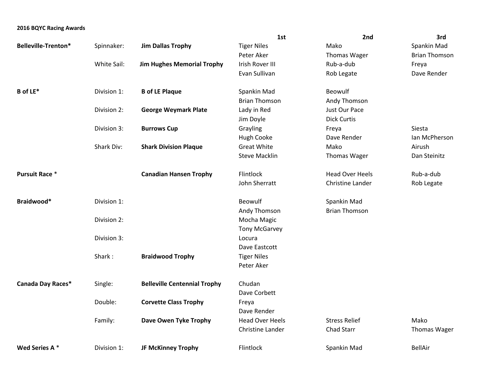## **2016 BQYC Racing Awards**

|                       |             |                                     | 1st                     | 2nd                    | 3rd                  |
|-----------------------|-------------|-------------------------------------|-------------------------|------------------------|----------------------|
| Belleville-Trenton*   | Spinnaker:  | <b>Jim Dallas Trophy</b>            | <b>Tiger Niles</b>      | Mako                   | Spankin Mad          |
|                       |             |                                     | Peter Aker              | Thomas Wager           | <b>Brian Thomson</b> |
|                       | White Sail: | <b>Jim Hughes Memorial Trophy</b>   | Irish Rover III         | Rub-a-dub              | Freya                |
|                       |             |                                     | Evan Sullivan           | Rob Legate             | Dave Render          |
| <b>B</b> of LE*       | Division 1: | <b>B</b> of LE Plaque               | Spankin Mad             | Beowulf                |                      |
|                       |             |                                     | <b>Brian Thomson</b>    | Andy Thomson           |                      |
|                       | Division 2: | <b>George Weymark Plate</b>         | Lady in Red             | Just Our Pace          |                      |
|                       |             |                                     | Jim Doyle               | <b>Dick Curtis</b>     |                      |
|                       | Division 3: | <b>Burrows Cup</b>                  | Grayling                | Freya                  | Siesta               |
|                       |             |                                     | <b>Hugh Cooke</b>       | Dave Render            | Ian McPherson        |
|                       | Shark Div:  | <b>Shark Division Plaque</b>        | <b>Great White</b>      | Mako                   | Airush               |
|                       |             |                                     | <b>Steve Macklin</b>    | Thomas Wager           | Dan Steinitz         |
| <b>Pursuit Race *</b> |             | <b>Canadian Hansen Trophy</b>       | Flintlock               | <b>Head Over Heels</b> | Rub-a-dub            |
|                       |             |                                     | John Sherratt           | Christine Lander       | Rob Legate           |
| Braidwood*            | Division 1: |                                     | <b>Beowulf</b>          | Spankin Mad            |                      |
|                       |             |                                     | Andy Thomson            | <b>Brian Thomson</b>   |                      |
|                       | Division 2: |                                     | Mocha Magic             |                        |                      |
|                       |             |                                     | <b>Tony McGarvey</b>    |                        |                      |
|                       | Division 3: |                                     | Locura                  |                        |                      |
|                       |             |                                     | Dave Eastcott           |                        |                      |
|                       | Shark:      | <b>Braidwood Trophy</b>             | <b>Tiger Niles</b>      |                        |                      |
|                       |             |                                     | Peter Aker              |                        |                      |
| Canada Day Races*     | Single:     | <b>Belleville Centennial Trophy</b> | Chudan                  |                        |                      |
|                       |             |                                     | Dave Corbett            |                        |                      |
|                       | Double:     | <b>Corvette Class Trophy</b>        | Freya                   |                        |                      |
|                       |             |                                     | Dave Render             |                        |                      |
|                       | Family:     | Dave Owen Tyke Trophy               | <b>Head Over Heels</b>  | <b>Stress Relief</b>   | Mako                 |
|                       |             |                                     | <b>Christine Lander</b> | <b>Chad Starr</b>      | <b>Thomas Wager</b>  |
| Wed Series A*         | Division 1: | <b>JF McKinney Trophy</b>           | Flintlock               | Spankin Mad            | <b>BellAir</b>       |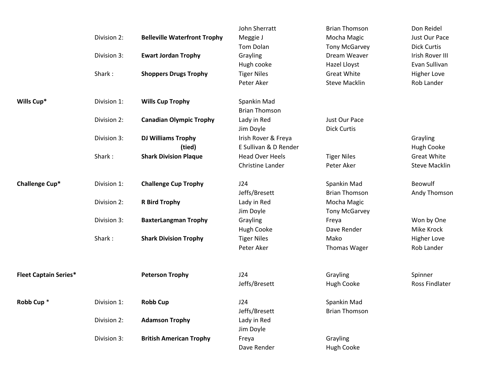|                              |             |                                     | John Sherratt           | <b>Brian Thomson</b> | Don Reidel           |
|------------------------------|-------------|-------------------------------------|-------------------------|----------------------|----------------------|
|                              | Division 2: | <b>Belleville Waterfront Trophy</b> | Meggie J                | Mocha Magic          | Just Our Pace        |
|                              |             |                                     | Tom Dolan               | <b>Tony McGarvey</b> | <b>Dick Curtis</b>   |
|                              | Division 3: | <b>Ewart Jordan Trophy</b>          | Grayling                | Dream Weaver         | Irish Rover III      |
|                              |             |                                     | Hugh cooke              | Hazel Lloyst         | Evan Sullivan        |
|                              | Shark:      | <b>Shoppers Drugs Trophy</b>        | <b>Tiger Niles</b>      | <b>Great White</b>   | <b>Higher Love</b>   |
|                              |             |                                     | Peter Aker              | <b>Steve Macklin</b> | Rob Lander           |
| Wills Cup*                   | Division 1: | <b>Wills Cup Trophy</b>             | Spankin Mad             |                      |                      |
|                              |             |                                     | <b>Brian Thomson</b>    |                      |                      |
|                              | Division 2: | <b>Canadian Olympic Trophy</b>      | Lady in Red             | Just Our Pace        |                      |
|                              |             |                                     | Jim Doyle               | <b>Dick Curtis</b>   |                      |
|                              | Division 3: | <b>DJ Williams Trophy</b>           | Irish Rover & Freya     |                      | Grayling             |
|                              |             | (tied)                              | E Sullivan & D Render   |                      | <b>Hugh Cooke</b>    |
|                              | Shark:      | <b>Shark Division Plaque</b>        | <b>Head Over Heels</b>  | <b>Tiger Niles</b>   | <b>Great White</b>   |
|                              |             |                                     | <b>Christine Lander</b> | Peter Aker           | <b>Steve Macklin</b> |
| Challenge Cup*               | Division 1: | <b>Challenge Cup Trophy</b>         | J24                     | Spankin Mad          | Beowulf              |
|                              |             |                                     | Jeffs/Bresett           | <b>Brian Thomson</b> | Andy Thomson         |
|                              | Division 2: | <b>R Bird Trophy</b>                | Lady in Red             | Mocha Magic          |                      |
|                              |             |                                     | Jim Doyle               | <b>Tony McGarvey</b> |                      |
|                              | Division 3: | <b>BaxterLangman Trophy</b>         | Grayling                | Freya                | Won by One           |
|                              |             |                                     | <b>Hugh Cooke</b>       | Dave Render          | Mike Krock           |
|                              | Shark:      | <b>Shark Division Trophy</b>        | <b>Tiger Niles</b>      | Mako                 | <b>Higher Love</b>   |
|                              |             |                                     | Peter Aker              | <b>Thomas Wager</b>  | Rob Lander           |
| <b>Fleet Captain Series*</b> |             | <b>Peterson Trophy</b>              | J24                     | Grayling             | Spinner              |
|                              |             |                                     | Jeffs/Bresett           | <b>Hugh Cooke</b>    | Ross Findlater       |
| Robb Cup <sup>*</sup>        | Division 1: | <b>Robb Cup</b>                     | J24                     | Spankin Mad          |                      |
|                              |             |                                     | Jeffs/Bresett           | <b>Brian Thomson</b> |                      |
|                              | Division 2: | <b>Adamson Trophy</b>               | Lady in Red             |                      |                      |
|                              |             |                                     | Jim Doyle               |                      |                      |
|                              | Division 3: | <b>British American Trophy</b>      | Freya                   | Grayling             |                      |
|                              |             |                                     | Dave Render             | Hugh Cooke           |                      |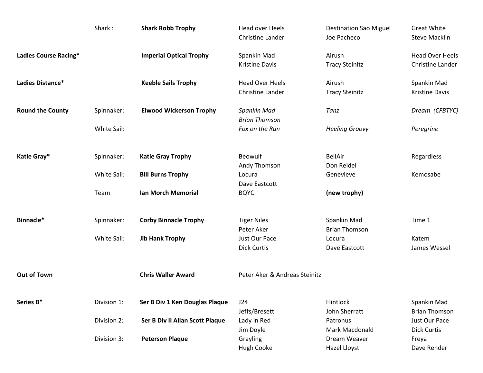|                         | Shark:      | <b>Shark Robb Trophy</b>        | <b>Head over Heels</b><br><b>Christine Lander</b> | <b>Destination Sao Miguel</b><br>Joe Pacheco   | <b>Great White</b><br><b>Steve Macklin</b> |
|-------------------------|-------------|---------------------------------|---------------------------------------------------|------------------------------------------------|--------------------------------------------|
| Ladies Course Racing*   |             | <b>Imperial Optical Trophy</b>  | Spankin Mad<br><b>Kristine Davis</b>              | Airush<br><b>Tracy Steinitz</b>                | <b>Head Over Heels</b><br>Christine Lander |
| Ladies Distance*        |             | <b>Keeble Sails Trophy</b>      | <b>Head Over Heels</b><br><b>Christine Lander</b> | Airush<br><b>Tracy Steinitz</b>                | Spankin Mad<br><b>Kristine Davis</b>       |
| <b>Round the County</b> | Spinnaker:  | <b>Elwood Wickerson Trophy</b>  | Spankin Mad<br><b>Brian Thomson</b>               | Tanz                                           | Dream (CFBTYC)                             |
|                         | White Sail: |                                 | Fox on the Run                                    | <b>Heeling Groovy</b>                          | Peregrine                                  |
| Katie Gray*             | Spinnaker:  | <b>Katie Gray Trophy</b>        | <b>Beowulf</b><br>Andy Thomson                    | <b>BellAir</b><br>Don Reidel                   | Regardless                                 |
|                         | White Sail: | <b>Bill Burns Trophy</b>        | Locura<br>Dave Eastcott                           | Genevieve                                      | Kemosabe                                   |
|                         | Team        | <b>Ian Morch Memorial</b>       | <b>BQYC</b>                                       | (new trophy)                                   |                                            |
| Binnacle*               | Spinnaker:  | <b>Corby Binnacle Trophy</b>    | <b>Tiger Niles</b><br>Peter Aker                  | Spankin Mad<br><b>Brian Thomson</b>            | Time 1                                     |
|                         | White Sail: | <b>Jib Hank Trophy</b>          | Just Our Pace<br><b>Dick Curtis</b>               | Locura<br>Dave Eastcott                        | Katem<br>James Wessel                      |
| <b>Out of Town</b>      |             | <b>Chris Waller Award</b>       | Peter Aker & Andreas Steinitz                     |                                                |                                            |
| Series B*               | Division 1: | Ser B Div 1 Ken Douglas Plaque  | J24<br>Jeffs/Bresett                              | Flintlock<br>John Sherratt                     | Spankin Mad<br><b>Brian Thomson</b>        |
|                         | Division 2: | Ser B Div II Allan Scott Plaque | Lady in Red                                       | Patronus                                       | Just Our Pace                              |
|                         | Division 3: | <b>Peterson Plaque</b>          | Jim Doyle<br>Grayling<br>Hugh Cooke               | Mark Macdonald<br>Dream Weaver<br>Hazel Lloyst | <b>Dick Curtis</b><br>Freya<br>Dave Render |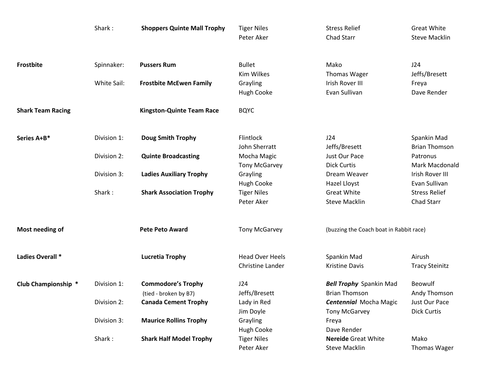|                          | Shark:      | <b>Shoppers Quinte Mall Trophy</b>                 | <b>Tiger Niles</b><br>Peter Aker                  | <b>Stress Relief</b><br>Chad Starr                    | <b>Great White</b><br><b>Steve Macklin</b> |
|--------------------------|-------------|----------------------------------------------------|---------------------------------------------------|-------------------------------------------------------|--------------------------------------------|
| Frostbite                | Spinnaker:  | <b>Pussers Rum</b>                                 | <b>Bullet</b><br><b>Kim Wilkes</b>                | Mako<br>Thomas Wager                                  | J24<br>Jeffs/Bresett                       |
|                          | White Sail: | <b>Frostbite McEwen Family</b>                     | Grayling<br>Hugh Cooke                            | Irish Rover III<br>Evan Sullivan                      | Freya<br>Dave Render                       |
| <b>Shark Team Racing</b> |             | <b>Kingston-Quinte Team Race</b>                   | <b>BQYC</b>                                       |                                                       |                                            |
| Series A+B*              | Division 1: | <b>Doug Smith Trophy</b>                           | Flintlock<br>John Sherratt                        | J24<br>Jeffs/Bresett                                  | Spankin Mad<br><b>Brian Thomson</b>        |
|                          | Division 2: | <b>Quinte Broadcasting</b>                         | Mocha Magic<br><b>Tony McGarvey</b>               | Just Our Pace<br><b>Dick Curtis</b>                   | Patronus<br>Mark Macdonald                 |
|                          | Division 3: | <b>Ladies Auxiliary Trophy</b>                     | Grayling<br><b>Hugh Cooke</b>                     | Dream Weaver<br>Hazel Lloyst                          | Irish Rover III<br>Evan Sullivan           |
|                          | Shark:      | <b>Shark Association Trophy</b>                    | <b>Tiger Niles</b><br>Peter Aker                  | <b>Great White</b><br><b>Steve Macklin</b>            | <b>Stress Relief</b><br>Chad Starr         |
| Most needing of          |             | <b>Pete Peto Award</b>                             | <b>Tony McGarvey</b>                              | (buzzing the Coach boat in Rabbit race)               |                                            |
| Ladies Overall *         |             | <b>Lucretia Trophy</b>                             | <b>Head Over Heels</b><br><b>Christine Lander</b> | Spankin Mad<br><b>Kristine Davis</b>                  | Airush<br><b>Tracy Steinitz</b>            |
| Club Championship *      | Division 1: | <b>Commodore's Trophy</b><br>(tied - broken by B7) | J24<br>Jeffs/Bresett                              | <b>Bell Trophy</b> Spankin Mad<br>Brian Thomson       | Beowulf<br>Andy Thomson                    |
|                          | Division 2: | <b>Canada Cement Trophy</b>                        | Lady in Red<br>Jim Doyle                          | <b>Centennial Mocha Magic</b><br><b>Tony McGarvey</b> | Just Our Pace<br><b>Dick Curtis</b>        |
|                          | Division 3: | <b>Maurice Rollins Trophy</b>                      | Grayling<br><b>Hugh Cooke</b>                     | Freya<br>Dave Render                                  |                                            |
|                          | Shark:      | <b>Shark Half Model Trophy</b>                     | <b>Tiger Niles</b><br>Peter Aker                  | <b>Nereide Great White</b><br><b>Steve Macklin</b>    | Mako<br>Thomas Wager                       |